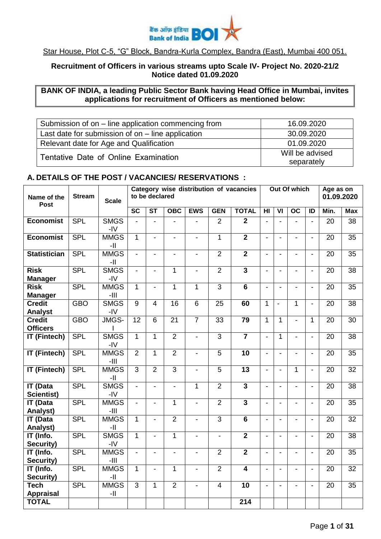

## Star House, Plot C-5, "G" Block, Bandra-Kurla Complex, Bandra (East), Mumbai 400 051.

## **Recruitment of Officers in various streams upto Scale IV- Project No. 2020-21/2 Notice dated 01.09.2020**

# **BANK OF INDIA, a leading Public Sector Bank having Head Office in Mumbai, invites applications for recruitment of Officers as mentioned below:**

| Submission of on – line application commencing from | 16.09.2020                    |
|-----------------------------------------------------|-------------------------------|
| Last date for submission of on $-$ line application | 30.09.2020                    |
| Relevant date for Age and Qualification             | 01.09.2020                    |
| Tentative Date of Online Examination                | Will be advised<br>separately |

#### **A. DETAILS OF THE POST / VACANCIES/ RESERVATIONS :**

| Name of the<br><b>Post</b>           | <b>Stream</b> | <b>Scale</b>          | Category wise distribution of vacancies<br>to be declared |                        |                  |                          | Out Of which    |                         |                          |                          | Age as on<br>01.09.2020  |                          |                 |                 |
|--------------------------------------|---------------|-----------------------|-----------------------------------------------------------|------------------------|------------------|--------------------------|-----------------|-------------------------|--------------------------|--------------------------|--------------------------|--------------------------|-----------------|-----------------|
|                                      |               |                       | $\overline{\mathsf{sc}}$                                  | $\overline{\text{ST}}$ | $\overline{OBC}$ | <b>EWS</b>               | <b>GEN</b>      | <b>TOTAL</b>            | $\overline{\mathsf{H}}$  | $\overline{\mathsf{VI}}$ | $\overline{OC}$          | $\overline{1}$           | Min.            | <b>Max</b>      |
| <b>Economist</b>                     | <b>SPL</b>    | <b>SMGS</b><br>-IV    | $\blacksquare$                                            | $\blacksquare$         | $\blacksquare$   | $\blacksquare$           | $\overline{2}$  | $\overline{2}$          | $\overline{a}$           | $\blacksquare$           | $\blacksquare$           | $\blacksquare$           | $\overline{20}$ | $\overline{38}$ |
| <b>Economist</b>                     | <b>SPL</b>    | <b>MMGS</b><br>-11    | $\mathbf{1}$                                              | $\blacksquare$         | $\blacksquare$   | $\blacksquare$           | 1               | $\overline{2}$          | $\overline{a}$           | $\overline{\phantom{a}}$ | $\blacksquare$           | $\blacksquare$           | 20              | 35              |
| <b>Statistician</b>                  | <b>SPL</b>    | <b>MMGS</b><br>-11    | $\blacksquare$                                            | $\blacksquare$         | $\blacksquare$   | $\overline{\phantom{a}}$ | $\overline{2}$  | $\overline{2}$          | $\overline{\phantom{a}}$ | $\overline{\phantom{a}}$ | $\blacksquare$           | $\blacksquare$           | 20              | 35              |
| <b>Risk</b><br><b>Manager</b>        | <b>SPL</b>    | <b>SMGS</b><br>$-IV$  |                                                           |                        | $\mathbf{1}$     | $\blacksquare$           | $\overline{2}$  | $\overline{3}$          | $\overline{a}$           | $\blacksquare$           |                          | $\blacksquare$           | 20              | 38              |
| <b>Risk</b><br><b>Manager</b>        | <b>SPL</b>    | <b>MMGS</b><br>$-III$ | 1                                                         | $\blacksquare$         | $\mathbf{1}$     | 1                        | $\overline{3}$  | $\overline{6}$          | $\overline{a}$           | $\overline{a}$           | $\blacksquare$           | $\blacksquare$           | 20              | 35              |
| <b>Credit</b><br>Analyst             | <b>GBO</b>    | <b>SMGS</b><br>-IV    | 9                                                         | 4                      | 16               | 6                        | 25              | 60                      | $\mathbf{1}$             | $\overline{a}$           | $\mathbf{1}$             | $\blacksquare$           | 20              | 38              |
| <b>Credit</b><br><b>Officers</b>     | <b>GBO</b>    | JMGS-                 | 12                                                        | $6\phantom{1}$         | $\overline{21}$  | $\overline{7}$           | $\overline{33}$ | 79                      | $\mathbf{1}$             | $\mathbf{1}$             | $\overline{a}$           | 1                        | 20              | $\overline{30}$ |
| <b>IT (Fintech)</b>                  | <b>SPL</b>    | <b>SMGS</b><br>-IV    | $\mathbf{1}$                                              | 1                      | $\overline{2}$   | $\blacksquare$           | $\overline{3}$  | $\overline{7}$          | $\overline{a}$           | $\mathbf{1}$             | $\overline{a}$           | $\overline{a}$           | 20              | 38              |
| <b>IT (Fintech)</b>                  | <b>SPL</b>    | <b>MMGS</b><br>$-III$ | $\overline{2}$                                            | $\mathbf{1}$           | $\overline{2}$   | $\blacksquare$           | 5               | 10                      | $\overline{a}$           | $\overline{a}$           | $\overline{a}$           | $\overline{a}$           | 20              | 35              |
| <b>IT (Fintech)</b>                  | <b>SPL</b>    | <b>MMGS</b><br>-11    | 3                                                         | $\overline{2}$         | 3                | $\overline{\phantom{a}}$ | 5               | 13                      | $\frac{1}{2}$            | $\blacksquare$           | $\mathbf{1}$             | $\blacksquare$           | 20              | 32              |
| <b>IT (Data</b><br><b>Scientist)</b> | <b>SPL</b>    | <b>SMGS</b><br>-IV    | $\blacksquare$                                            |                        | $\blacksquare$   | 1                        | $\overline{2}$  | $\mathbf{3}$            | $\overline{a}$           | $\overline{a}$           | $\blacksquare$           | $\blacksquare$           | 20              | 38              |
| <b>IT (Data</b><br>Analyst)          | <b>SPL</b>    | <b>MMGS</b><br>$-III$ |                                                           |                        | $\mathbf{1}$     | $\blacksquare$           | $\overline{2}$  | $\overline{3}$          | $\overline{a}$           | $\blacksquare$           | $\blacksquare$           | $\blacksquare$           | 20              | 35              |
| <b>IT (Data</b><br>Analyst)          | <b>SPL</b>    | <b>MMGS</b><br>-11    | $\mathbf{1}$                                              |                        | $\overline{2}$   | $\overline{a}$           | $\overline{3}$  | $\overline{6}$          | $\overline{a}$           | $\overline{a}$           |                          | $\overline{a}$           | $\overline{20}$ | $\overline{32}$ |
| IT (Info.<br>Security)               | <b>SPL</b>    | <b>SMGS</b><br>-IV    | 1                                                         |                        | $\mathbf{1}$     | $\blacksquare$           | $\blacksquare$  | $\overline{\mathbf{2}}$ | $\overline{a}$           | $\overline{\phantom{0}}$ | $\blacksquare$           | $\blacksquare$           | 20              | 38              |
| IT (Info.<br>Security)               | <b>SPL</b>    | <b>MMGS</b><br>$-III$ | $\blacksquare$                                            |                        | $\blacksquare$   | $\blacksquare$           | $\overline{2}$  | $\overline{2}$          | $\overline{a}$           | $\overline{\phantom{0}}$ | $\overline{\phantom{0}}$ | $\blacksquare$           | 20              | 35              |
| IT (Info.<br>Security)               | <b>SPL</b>    | <b>MMGS</b><br>-11    | $\mathbf{1}$                                              |                        | $\mathbf{1}$     | $\overline{\phantom{a}}$ | $\overline{2}$  | $\overline{\mathbf{4}}$ | $\overline{a}$           | $\blacksquare$           | $\blacksquare$           | $\blacksquare$           | 20              | 32              |
| <b>Tech</b><br><b>Appraisal</b>      | <b>SPL</b>    | <b>MMGS</b><br>$-  $  | 3                                                         | $\mathbf{1}$           | $\overline{2}$   | $\blacksquare$           | $\overline{4}$  | 10                      | $\overline{a}$           | $\overline{a}$           | $\blacksquare$           | $\overline{\phantom{a}}$ | 20              | 35              |
| <b>TOTAL</b>                         |               |                       |                                                           |                        |                  |                          |                 | $\overline{214}$        |                          |                          |                          |                          |                 |                 |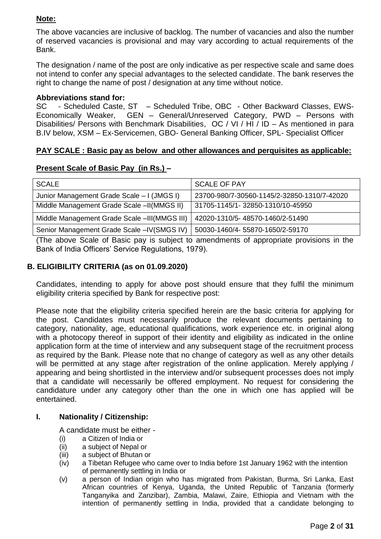# **Note:**

The above vacancies are inclusive of backlog. The number of vacancies and also the number of reserved vacancies is provisional and may vary according to actual requirements of the Bank.

The designation / name of the post are only indicative as per respective scale and same does not intend to confer any special advantages to the selected candidate. The bank reserves the right to change the name of post / designation at any time without notice.

## **Abbreviations stand for:**

SC - Scheduled Caste, ST – Scheduled Tribe, OBC - Other Backward Classes, EWS-Economically Weaker, GEN – General/Unreserved Category, PWD – Persons with Disabilities/ Persons with Benchmark Disabilities, OC / VI / HI / ID – As mentioned in para B.IV below, XSM – Ex-Servicemen, GBO- General Banking Officer, SPL- Specialist Officer

## **PAY SCALE : Basic pay as below and other allowances and perquisites as applicable:**

## **Present Scale of Basic Pay (in Rs.) –**

| <b>SCALE</b>                                 | <b>SCALE OF PAY</b>                         |
|----------------------------------------------|---------------------------------------------|
| Junior Management Grade Scale - I (JMGS I)   | 23700-980/7-30560-1145/2-32850-1310/7-42020 |
| Middle Management Grade Scale -II(MMGS II)   | 31705-1145/1-32850-1310/10-45950            |
| Middle Management Grade Scale -III(MMGS III) | 42020-1310/5-48570-1460/2-51490             |
| Senior Management Grade Scale - IV (SMGS IV) | 50030-1460/4-55870-1650/2-59170             |

(The above Scale of Basic pay is subject to amendments of appropriate provisions in the Bank of India Officers' Service Regulations, 1979).

## **B. ELIGIBILITY CRITERIA (as on 01.09.2020)**

Candidates, intending to apply for above post should ensure that they fulfil the minimum eligibility criteria specified by Bank for respective post:

Please note that the eligibility criteria specified herein are the basic criteria for applying for the post. Candidates must necessarily produce the relevant documents pertaining to category, nationality, age, educational qualifications, work experience etc. in original along with a photocopy thereof in support of their identity and eligibility as indicated in the online application form at the time of interview and any subsequent stage of the recruitment process as required by the Bank. Please note that no change of category as well as any other details will be permitted at any stage after registration of the online application. Merely applying / appearing and being shortlisted in the interview and/or subsequent processes does not imply that a candidate will necessarily be offered employment. No request for considering the candidature under any category other than the one in which one has applied will be entertained.

## **I. Nationality / Citizenship:**

A candidate must be either -

- (i) a Citizen of India or
- (ii) a subject of Nepal or
- (iii) a subject of Bhutan or
- (iv) a Tibetan Refugee who came over to India before 1st January 1962 with the intention of permanently settling in India or
- (v) a person of Indian origin who has migrated from Pakistan, Burma, Sri Lanka, East African countries of Kenya, Uganda, the United Republic of Tanzania (formerly Tanganyika and Zanzibar), Zambia, Malawi, Zaire, Ethiopia and Vietnam with the intention of permanently settling in India, provided that a candidate belonging to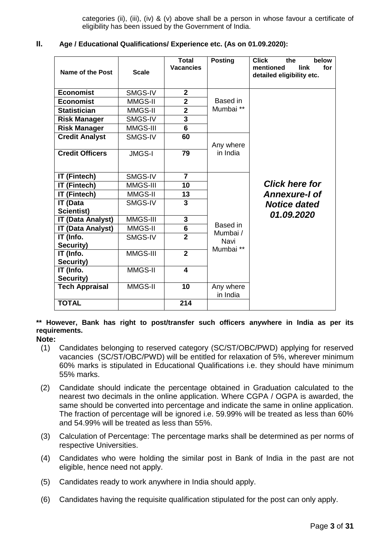categories (ii), (iii), (iv) & (v) above shall be a person in whose favour a certificate of eligibility has been issued by the Government of India.

| Ш. |  |  |  | Age / Educational Qualifications/ Experience etc. (As on 01.09.2020): |
|----|--|--|--|-----------------------------------------------------------------------|
|----|--|--|--|-----------------------------------------------------------------------|

| <b>Name of the Post</b>                              | <b>Scale</b>  | <b>Total</b><br><b>Vacancies</b> | <b>Posting</b> | <b>Click</b><br>below<br>the<br>mentioned<br>link<br>for<br>detailed eligibility etc. |
|------------------------------------------------------|---------------|----------------------------------|----------------|---------------------------------------------------------------------------------------|
| <b>Economist</b>                                     | SMGS-IV       | $\overline{2}$                   |                |                                                                                       |
| <b>Economist</b>                                     | MMGS-II       | $\overline{2}$                   | Based in       |                                                                                       |
| <b>Statistician</b>                                  | MMGS-II       | $\overline{2}$                   | Mumbai **      |                                                                                       |
| <b>Risk Manager</b>                                  | SMGS-IV       | 3                                |                |                                                                                       |
| <b>Risk Manager</b>                                  | MMGS-III      | $6\phantom{1}$                   |                |                                                                                       |
| <b>Credit Analyst</b>                                | SMGS-IV       | 60                               |                |                                                                                       |
|                                                      |               |                                  | Any where      |                                                                                       |
| <b>Credit Officers</b>                               | <b>JMGS-I</b> | 79                               | in India       |                                                                                       |
| IT (Fintech)                                         | SMGS-IV       | $\overline{7}$                   |                |                                                                                       |
| IT (Fintech)                                         | MMGS-III      | 10                               |                | <b>Click here for</b>                                                                 |
| IT (Fintech)                                         | MMGS-II       | 13                               |                | <b>Annexure-I of</b>                                                                  |
| <b>IT (Data</b>                                      | SMGS-IV       | 3                                |                | <b>Notice dated</b>                                                                   |
| <b>Scientist)</b>                                    | MMGS-III      | 3                                |                | 01.09.2020                                                                            |
| <b>IT (Data Analyst)</b><br><b>IT (Data Analyst)</b> | MMGS-II       | $6\phantom{1}6$                  | Based in       |                                                                                       |
| IT (Info.                                            | SMGS-IV       | $\overline{2}$                   | Mumbai /       |                                                                                       |
| Security)                                            |               |                                  | Navi           |                                                                                       |
| IT (Info.                                            | MMGS-III      | $\overline{2}$                   | Mumbai **      |                                                                                       |
| Security)                                            |               |                                  |                |                                                                                       |
| IT (Info.<br>Security)                               | MMGS-II       | $\overline{\mathbf{4}}$          |                |                                                                                       |
| <b>Tech Appraisal</b>                                | MMGS-II       | 10                               | Any where      |                                                                                       |
|                                                      |               |                                  | in India       |                                                                                       |
| <b>TOTAL</b>                                         |               | 214                              |                |                                                                                       |

**\*\* However, Bank has right to post/transfer such officers anywhere in India as per its requirements.**

#### **Note:**

- (1) Candidates belonging to reserved category (SC/ST/OBC/PWD) applying for reserved vacancies (SC/ST/OBC/PWD) will be entitled for relaxation of 5%, wherever minimum 60% marks is stipulated in Educational Qualifications i.e. they should have minimum 55% marks.
- (2) Candidate should indicate the percentage obtained in Graduation calculated to the nearest two decimals in the online application. Where CGPA / OGPA is awarded, the same should be converted into percentage and indicate the same in online application. The fraction of percentage will be ignored i.e. 59.99% will be treated as less than 60% and 54.99% will be treated as less than 55%.
- (3) Calculation of Percentage: The percentage marks shall be determined as per norms of respective Universities.
- (4) Candidates who were holding the similar post in Bank of India in the past are not eligible, hence need not apply.
- (5) Candidates ready to work anywhere in India should apply.
- (6) Candidates having the requisite qualification stipulated for the post can only apply.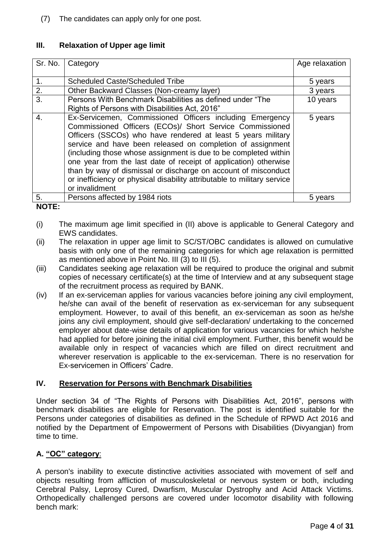(7) The candidates can apply only for one post.

# **III. Relaxation of Upper age limit**

| Sr. No.        | Category                                                                                                                                                                                                                                                                                                                                                                                                                                                                                                                                                 | Age relaxation |
|----------------|----------------------------------------------------------------------------------------------------------------------------------------------------------------------------------------------------------------------------------------------------------------------------------------------------------------------------------------------------------------------------------------------------------------------------------------------------------------------------------------------------------------------------------------------------------|----------------|
| $\mathbf{1}$ . | <b>Scheduled Caste/Scheduled Tribe</b>                                                                                                                                                                                                                                                                                                                                                                                                                                                                                                                   | 5 years        |
| 2.             | Other Backward Classes (Non-creamy layer)                                                                                                                                                                                                                                                                                                                                                                                                                                                                                                                | 3 years        |
| 3.             | Persons With Benchmark Disabilities as defined under "The<br>Rights of Persons with Disabilities Act, 2016"                                                                                                                                                                                                                                                                                                                                                                                                                                              | 10 years       |
| 4.             | Ex-Servicemen, Commissioned Officers including Emergency<br>Commissioned Officers (ECOs)/ Short Service Commissioned<br>Officers (SSCOs) who have rendered at least 5 years military<br>service and have been released on completion of assignment<br>(including those whose assignment is due to be completed within<br>one year from the last date of receipt of application) otherwise<br>than by way of dismissal or discharge on account of misconduct<br>or inefficiency or physical disability attributable to military service<br>or invalidment | 5 years        |
| 5.             | Persons affected by 1984 riots                                                                                                                                                                                                                                                                                                                                                                                                                                                                                                                           | 5 years        |

## **NOTE:**

- (i) The maximum age limit specified in (II) above is applicable to General Category and EWS candidates.
- (ii) The relaxation in upper age limit to SC/ST/OBC candidates is allowed on cumulative basis with only one of the remaining categories for which age relaxation is permitted as mentioned above in Point No. III (3) to III (5).
- (iii) Candidates seeking age relaxation will be required to produce the original and submit copies of necessary certificate(s) at the time of Interview and at any subsequent stage of the recruitment process as required by BANK.
- (iv) If an ex-serviceman applies for various vacancies before joining any civil employment, he/she can avail of the benefit of reservation as ex-serviceman for any subsequent employment. However, to avail of this benefit, an ex-serviceman as soon as he/she joins any civil employment, should give self-declaration/ undertaking to the concerned employer about date-wise details of application for various vacancies for which he/she had applied for before joining the initial civil employment. Further, this benefit would be available only in respect of vacancies which are filled on direct recruitment and wherever reservation is applicable to the ex-serviceman. There is no reservation for Ex-servicemen in Officers' Cadre.

# **IV. Reservation for Persons with Benchmark Disabilities**

Under section 34 of "The Rights of Persons with Disabilities Act, 2016", persons with benchmark disabilities are eligible for Reservation. The post is identified suitable for the Persons under categories of disabilities as defined in the Schedule of RPWD Act 2016 and notified by the Department of Empowerment of Persons with Disabilities (Divyangjan) from time to time.

# **A. "OC" category**:

A person's inability to execute distinctive activities associated with movement of self and objects resulting from affliction of musculoskeletal or nervous system or both, including Cerebral Palsy, Leprosy Cured, Dwarfism, Muscular Dystrophy and Acid Attack Victims. Orthopedically challenged persons are covered under locomotor disability with following bench mark: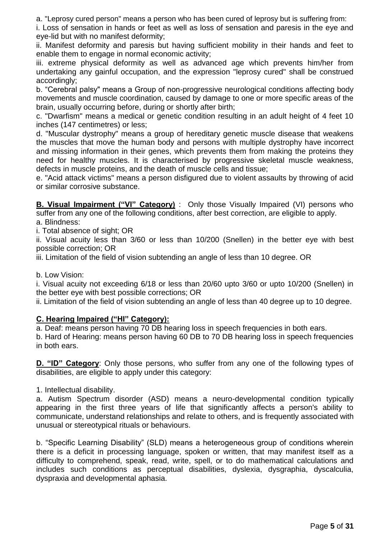a. "Leprosy cured person" means a person who has been cured of leprosy but is suffering from:

i. Loss of sensation in hands or feet as well as loss of sensation and paresis in the eye and eye-lid but with no manifest deformity;

ii. Manifest deformity and paresis but having sufficient mobility in their hands and feet to enable them to engage in normal economic activity;

iii. extreme physical deformity as well as advanced age which prevents him/her from undertaking any gainful occupation, and the expression "leprosy cured" shall be construed accordingly;

b. "Cerebral palsy" means a Group of non-progressive neurological conditions affecting body movements and muscle coordination, caused by damage to one or more specific areas of the brain, usually occurring before, during or shortly after birth;

c. "Dwarfism" means a medical or genetic condition resulting in an adult height of 4 feet 10 inches (147 centimetres) or less;

d. "Muscular dystrophy" means a group of hereditary genetic muscle disease that weakens the muscles that move the human body and persons with multiple dystrophy have incorrect and missing information in their genes, which prevents them from making the proteins they need for healthy muscles. It is characterised by progressive skeletal muscle weakness, defects in muscle proteins, and the death of muscle cells and tissue;

e. "Acid attack victims" means a person disfigured due to violent assaults by throwing of acid or similar corrosive substance.

**B. Visual Impairment ("VI" Category)** : Only those Visually Impaired (VI) persons who suffer from any one of the following conditions, after best correction, are eligible to apply. a. Blindness:

i. Total absence of sight; OR

ii. Visual acuity less than 3/60 or less than 10/200 (Snellen) in the better eye with best possible correction; OR

iii. Limitation of the field of vision subtending an angle of less than 10 degree. OR

b. Low Vision:

i. Visual acuity not exceeding 6/18 or less than 20/60 upto 3/60 or upto 10/200 (Snellen) in the better eye with best possible corrections; OR

ii. Limitation of the field of vision subtending an angle of less than 40 degree up to 10 degree.

## **C. Hearing Impaired ("HI" Category):**

a. Deaf: means person having 70 DB hearing loss in speech frequencies in both ears.

b. Hard of Hearing: means person having 60 DB to 70 DB hearing loss in speech frequencies in both ears.

**D. "ID" Category**: Only those persons, who suffer from any one of the following types of disabilities, are eligible to apply under this category:

1. Intellectual disability.

a. Autism Spectrum disorder (ASD) means a neuro-developmental condition typically appearing in the first three years of life that significantly affects a person's ability to communicate, understand relationships and relate to others, and is frequently associated with unusual or stereotypical rituals or behaviours.

b. "Specific Learning Disability" (SLD) means a heterogeneous group of conditions wherein there is a deficit in processing language, spoken or written, that may manifest itself as a difficulty to comprehend, speak, read, write, spell, or to do mathematical calculations and includes such conditions as perceptual disabilities, dyslexia, dysgraphia, dyscalculia, dyspraxia and developmental aphasia.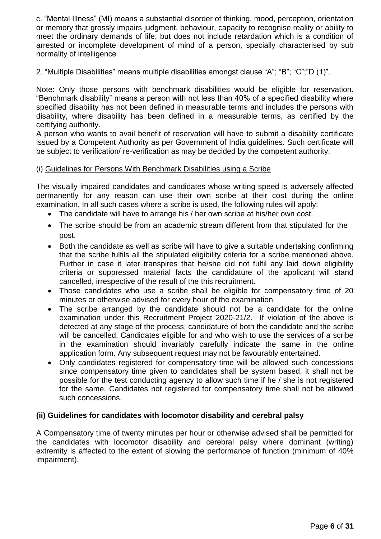c. "Mental Illness" (MI) means a substantial disorder of thinking, mood, perception, orientation or memory that grossly impairs judgment, behaviour, capacity to recognise reality or ability to meet the ordinary demands of life, but does not include retardation which is a condition of arrested or incomplete development of mind of a person, specially characterised by sub normality of intelligence

2. "Multiple Disabilities" means multiple disabilities amongst clause "A"; "B"; "C";"D (1)".

Note: Only those persons with benchmark disabilities would be eligible for reservation. "Benchmark disability" means a person with not less than 40% of a specified disability where specified disability has not been defined in measurable terms and includes the persons with disability, where disability has been defined in a measurable terms, as certified by the certifying authority.

A person who wants to avail benefit of reservation will have to submit a disability certificate issued by a Competent Authority as per Government of India guidelines. Such certificate will be subject to verification/ re-verification as may be decided by the competent authority.

## (i) Guidelines for Persons With Benchmark Disabilities using a Scribe

The visually impaired candidates and candidates whose writing speed is adversely affected permanently for any reason can use their own scribe at their cost during the online examination. In all such cases where a scribe is used, the following rules will apply:

- The candidate will have to arrange his / her own scribe at his/her own cost.
- The scribe should be from an academic stream different from that stipulated for the post.
- Both the candidate as well as scribe will have to give a suitable undertaking confirming that the scribe fulfils all the stipulated eligibility criteria for a scribe mentioned above. Further in case it later transpires that he/she did not fulfil any laid down eligibility criteria or suppressed material facts the candidature of the applicant will stand cancelled, irrespective of the result of the this recruitment.
- Those candidates who use a scribe shall be eligible for compensatory time of 20 minutes or otherwise advised for every hour of the examination.
- The scribe arranged by the candidate should not be a candidate for the online examination under this Recruitment Project 2020-21/2. If violation of the above is detected at any stage of the process, candidature of both the candidate and the scribe will be cancelled. Candidates eligible for and who wish to use the services of a scribe in the examination should invariably carefully indicate the same in the online application form. Any subsequent request may not be favourably entertained.
- Only candidates registered for compensatory time will be allowed such concessions since compensatory time given to candidates shall be system based, it shall not be possible for the test conducting agency to allow such time if he / she is not registered for the same. Candidates not registered for compensatory time shall not be allowed such concessions.

## **(ii) Guidelines for candidates with locomotor disability and cerebral palsy**

A Compensatory time of twenty minutes per hour or otherwise advised shall be permitted for the candidates with locomotor disability and cerebral palsy where dominant (writing) extremity is affected to the extent of slowing the performance of function (minimum of 40% impairment).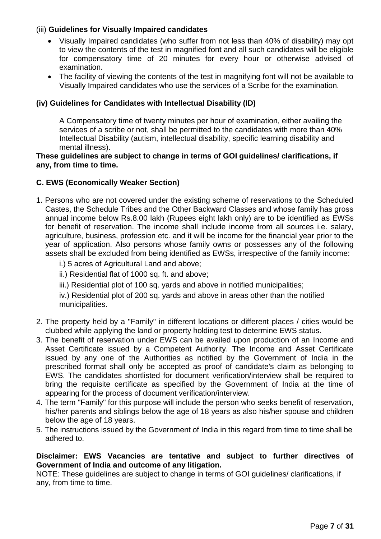# (iii) **Guidelines for Visually Impaired candidates**

- Visually Impaired candidates (who suffer from not less than 40% of disability) may opt to view the contents of the test in magnified font and all such candidates will be eligible for compensatory time of 20 minutes for every hour or otherwise advised of examination.
- The facility of viewing the contents of the test in magnifying font will not be available to Visually Impaired candidates who use the services of a Scribe for the examination.

## **(iv) Guidelines for Candidates with Intellectual Disability (ID)**

A Compensatory time of twenty minutes per hour of examination, either availing the services of a scribe or not, shall be permitted to the candidates with more than 40% Intellectual Disability (autism, intellectual disability, specific learning disability and mental illness).

#### **These guidelines are subject to change in terms of GOI guidelines/ clarifications, if any, from time to time.**

## **C. EWS (Economically Weaker Section)**

- 1. Persons who are not covered under the existing scheme of reservations to the Scheduled Castes, the Schedule Tribes and the Other Backward Classes and whose family has gross annual income below Rs.8.00 lakh (Rupees eight lakh only) are to be identified as EWSs for benefit of reservation. The income shall include income from all sources i.e. salary, agriculture, business, profession etc. and it will be income for the financial year prior to the year of application. Also persons whose family owns or possesses any of the following assets shall be excluded from being identified as EWSs, irrespective of the family income:
	- i.) 5 acres of Agricultural Land and above;
	- ii.) Residential flat of 1000 sq. ft. and above;
	- iii.) Residential plot of 100 sq. yards and above in notified municipalities;

iv.) Residential plot of 200 sq. yards and above in areas other than the notified municipalities.

- 2. The property held by a "Family" in different locations or different places / cities would be clubbed while applying the land or property holding test to determine EWS status.
- 3. The benefit of reservation under EWS can be availed upon production of an Income and Asset Certificate issued by a Competent Authority. The Income and Asset Certificate issued by any one of the Authorities as notified by the Government of India in the prescribed format shall only be accepted as proof of candidate's claim as belonging to EWS. The candidates shortlisted for document verification/interview shall be required to bring the requisite certificate as specified by the Government of India at the time of appearing for the process of document verification/interview.
- 4. The term "Family" for this purpose will include the person who seeks benefit of reservation, his/her parents and siblings below the age of 18 years as also his/her spouse and children below the age of 18 years.
- 5. The instructions issued by the Government of India in this regard from time to time shall be adhered to.

## **Disclaimer: EWS Vacancies are tentative and subject to further directives of Government of India and outcome of any litigation.**

NOTE: These guidelines are subject to change in terms of GOI guidelines/ clarifications, if any, from time to time.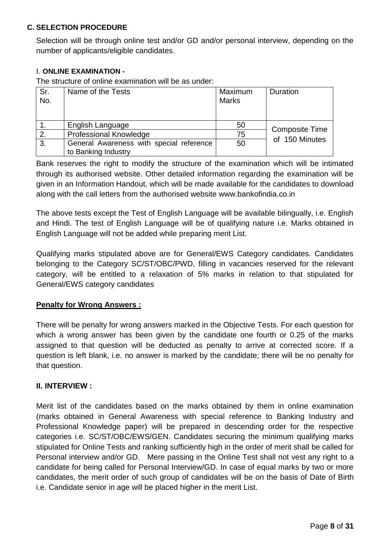## **C. SELECTION PROCEDURE**

Selection will be through online test and/or GD and/or personal interview, depending on the number of applicants/eligible candidates.

## I. **ONLINE EXAMINATION -**

The structure of online examination will be as under:

| Sr.<br>No. | Name of the Tests                        | Maximum<br><b>Marks</b> | Duration              |
|------------|------------------------------------------|-------------------------|-----------------------|
|            | English Language                         | 50                      | <b>Composite Time</b> |
| 2.         | <b>Professional Knowledge</b>            | 75                      |                       |
| 3.         | General Awareness with special reference | 50                      | of 150 Minutes        |
|            | to Banking Industry                      |                         |                       |

Bank reserves the right to modify the structure of the examination which will be intimated through its authorised website. Other detailed information regarding the examination will be given in an Information Handout, which will be made available for the candidates to download along with the call letters from the authorised website www.bankofindia.co.in

The above tests except the Test of English Language will be available bilingually, i.e. English and Hindi. The test of English Language will be of qualifying nature i.e. Marks obtained in English Language will not be added while preparing merit List.

Qualifying marks stipulated above are for General/EWS Category candidates. Candidates belonging to the Category SC/ST/OBC/PWD, filling in vacancies reserved for the relevant category, will be entitled to a relaxation of 5% marks in relation to that stipulated for General/EWS category candidates

# **Penalty for Wrong Answers :**

There will be penalty for wrong answers marked in the Objective Tests. For each question for which a wrong answer has been given by the candidate one fourth or 0.25 of the marks assigned to that question will be deducted as penalty to arrive at corrected score. If a question is left blank, i.e. no answer is marked by the candidate; there will be no penalty for that question.

## **II. INTERVIEW :**

Merit list of the candidates based on the marks obtained by them in online examination (marks obtained in General Awareness with special reference to Banking Industry and Professional Knowledge paper) will be prepared in descending order for the respective categories i.e. SC/ST/OBC/EWS/GEN. Candidates securing the minimum qualifying marks stipulated for Online Tests and ranking sufficiently high in the order of merit shall be called for Personal interview and/or GD. Mere passing in the Online Test shall not vest any right to a candidate for being called for Personal Interview/GD. In case of equal marks by two or more candidates, the merit order of such group of candidates will be on the basis of Date of Birth i.e. Candidate senior in age will be placed higher in the merit List.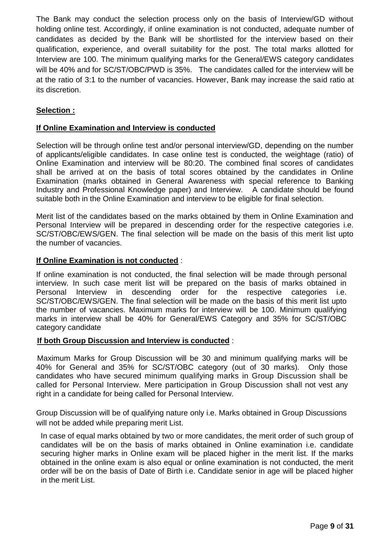The Bank may conduct the selection process only on the basis of Interview/GD without holding online test. Accordingly, if online examination is not conducted, adequate number of candidates as decided by the Bank will be shortlisted for the interview based on their qualification, experience, and overall suitability for the post. The total marks allotted for Interview are 100. The minimum qualifying marks for the General/EWS category candidates will be 40% and for SC/ST/OBC/PWD is 35%. The candidates called for the interview will be at the ratio of 3:1 to the number of vacancies. However, Bank may increase the said ratio at its discretion.

# **Selection :**

## **If Online Examination and Interview is conducted**

Selection will be through online test and/or personal interview/GD, depending on the number of applicants/eligible candidates. In case online test is conducted, the weightage (ratio) of Online Examination and interview will be 80:20. The combined final scores of candidates shall be arrived at on the basis of total scores obtained by the candidates in Online Examination (marks obtained in General Awareness with special reference to Banking Industry and Professional Knowledge paper) and Interview. A candidate should be found suitable both in the Online Examination and interview to be eligible for final selection.

Merit list of the candidates based on the marks obtained by them in Online Examination and Personal Interview will be prepared in descending order for the respective categories i.e. SC/ST/OBC/EWS/GEN. The final selection will be made on the basis of this merit list upto the number of vacancies.

## **If Online Examination is not conducted** :

If online examination is not conducted, the final selection will be made through personal interview. In such case merit list will be prepared on the basis of marks obtained in Personal Interview in descending order for the respective categories i.e. SC/ST/OBC/EWS/GEN. The final selection will be made on the basis of this merit list upto the number of vacancies. Maximum marks for interview will be 100. Minimum qualifying marks in interview shall be 40% for General/EWS Category and 35% for SC/ST/OBC category candidate

#### **If both Group Discussion and Interview is conducted** :

Maximum Marks for Group Discussion will be 30 and minimum qualifying marks will be 40% for General and 35% for SC/ST/OBC category (out of 30 marks). Only those candidates who have secured minimum qualifying marks in Group Discussion shall be called for Personal Interview. Mere participation in Group Discussion shall not vest any right in a candidate for being called for Personal Interview.

Group Discussion will be of qualifying nature only i.e. Marks obtained in Group Discussions will not be added while preparing merit List.

In case of equal marks obtained by two or more candidates, the merit order of such group of candidates will be on the basis of marks obtained in Online examination i.e. candidate securing higher marks in Online exam will be placed higher in the merit list. If the marks obtained in the online exam is also equal or online examination is not conducted, the merit order will be on the basis of Date of Birth i.e. Candidate senior in age will be placed higher in the merit List.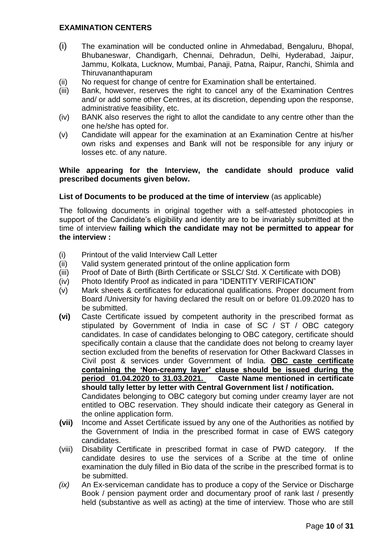## **EXAMINATION CENTERS**

- (i) The examination will be conducted online in Ahmedabad, Bengaluru, Bhopal, Bhubaneswar, Chandigarh, Chennai, Dehradun, Delhi, Hyderabad, Jaipur, Jammu, Kolkata, Lucknow, Mumbai, Panaji, Patna, Raipur, Ranchi, Shimla and Thiruvananthapuram
- (ii) No request for change of centre for Examination shall be entertained.
- (iii) Bank, however, reserves the right to cancel any of the Examination Centres and/ or add some other Centres, at its discretion, depending upon the response, administrative feasibility, etc.
- (iv) BANK also reserves the right to allot the candidate to any centre other than the one he/she has opted for.
- (v) Candidate will appear for the examination at an Examination Centre at his/her own risks and expenses and Bank will not be responsible for any injury or losses etc. of any nature.

## **While appearing for the Interview, the candidate should produce valid prescribed documents given below.**

## **List of Documents to be produced at the time of interview** (as applicable)

The following documents in original together with a self-attested photocopies in support of the Candidate's eligibility and identity are to be invariably submitted at the time of interview **failing which the candidate may not be permitted to appear for the interview :**

- (i) Printout of the valid Interview Call Letter
- (ii) Valid system generated printout of the online application form
- (iii) Proof of Date of Birth (Birth Certificate or SSLC/ Std. X Certificate with DOB)
- (iv) Photo Identify Proof as indicated in para "IDENTITY VERIFICATION"
- (v) Mark sheets & certificates for educational qualifications. Proper document from Board /University for having declared the result on or before 01.09.2020 has to be submitted.
- **(vi)** Caste Certificate issued by competent authority in the prescribed format as stipulated by Government of India in case of SC / ST / OBC category candidates. In case of candidates belonging to OBC category, certificate should specifically contain a clause that the candidate does not belong to creamy layer section excluded from the benefits of reservation for Other Backward Classes in Civil post & services under Government of India. **OBC caste certificate containing the 'Non-creamy layer' clause should be issued during the period 01.04.2020 to 31.03.2021. Caste Name mentioned in certificate should tally letter by letter with Central Government list / notification.** Candidates belonging to OBC category but coming under creamy layer are not entitled to OBC reservation. They should indicate their category as General in the online application form.
- **(vii)** Income and Asset Certificate issued by any one of the Authorities as notified by the Government of India in the prescribed format in case of EWS category candidates.
- (viii) Disability Certificate in prescribed format in case of PWD category. If the candidate desires to use the services of a Scribe at the time of online examination the duly filled in Bio data of the scribe in the prescribed format is to be submitted.
- *(ix)* An Ex-serviceman candidate has to produce a copy of the Service or Discharge Book / pension payment order and documentary proof of rank last / presently held (substantive as well as acting) at the time of interview. Those who are still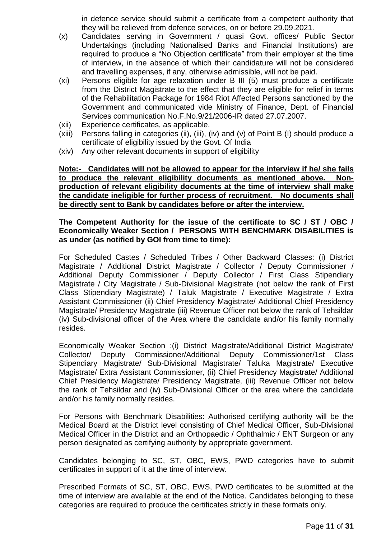in defence service should submit a certificate from a competent authority that they will be relieved from defence services, on or before 29.09.2021.

- (x) Candidates serving in Government / quasi Govt. offices/ Public Sector Undertakings (including Nationalised Banks and Financial Institutions) are required to produce a "No Objection certificate" from their employer at the time of interview, in the absence of which their candidature will not be considered and travelling expenses, if any, otherwise admissible, will not be paid.
- (xi) Persons eligible for age relaxation under B III (5) must produce a certificate from the District Magistrate to the effect that they are eligible for relief in terms of the Rehabilitation Package for 1984 Riot Affected Persons sanctioned by the Government and communicated vide Ministry of Finance, Dept. of Financial Services communication No.F.No.9/21/2006-IR dated 27.07.2007.
- (xii) Experience certificates, as applicable.
- (xiii) Persons falling in categories (ii), (iii), (iv) and (v) of Point B (I) should produce a certificate of eligibility issued by the Govt. Of India
- (xiv) Any other relevant documents in support of eligibility

**Note:- Candidates will not be allowed to appear for the interview if he/ she fails to produce the relevant eligibility documents as mentioned above. Nonproduction of relevant eligibility documents at the time of interview shall make the candidate ineligible for further process of recruitment. No documents shall be directly sent to Bank by candidates before or after the interview.** 

### **The Competent Authority for the issue of the certificate to SC / ST / OBC / Economically Weaker Section / PERSONS WITH BENCHMARK DISABILITIES is as under (as notified by GOI from time to time):**

For Scheduled Castes / Scheduled Tribes / Other Backward Classes: (i) District Magistrate / Additional District Magistrate / Collector / Deputy Commissioner / Additional Deputy Commissioner / Deputy Collector / First Class Stipendiary Magistrate / City Magistrate / Sub-Divisional Magistrate (not below the rank of First Class Stipendiary Magistrate) / Taluk Magistrate / Executive Magistrate / Extra Assistant Commissioner (ii) Chief Presidency Magistrate/ Additional Chief Presidency Magistrate/ Presidency Magistrate (iii) Revenue Officer not below the rank of Tehsildar (iv) Sub-divisional officer of the Area where the candidate and/or his family normally resides.

Economically Weaker Section :(i) District Magistrate/Additional District Magistrate/ Collector/ Deputy Commissioner/Additional Deputy Commissioner/1st Class Stipendiary Magistrate/ Sub-Divisional Magistrate/ Taluka Magistrate/ Executive Magistrate/ Extra Assistant Commissioner, (ii) Chief Presidency Magistrate/ Additional Chief Presidency Magistrate/ Presidency Magistrate, (iii) Revenue Officer not below the rank of Tehsildar and (iv) Sub-Divisional Officer or the area where the candidate and/or his family normally resides.

For Persons with Benchmark Disabilities: Authorised certifying authority will be the Medical Board at the District level consisting of Chief Medical Officer, Sub-Divisional Medical Officer in the District and an Orthopaedic / Ophthalmic / ENT Surgeon or any person designated as certifying authority by appropriate government.

Candidates belonging to SC, ST, OBC, EWS, PWD categories have to submit certificates in support of it at the time of interview.

Prescribed Formats of SC, ST, OBC, EWS, PWD certificates to be submitted at the time of interview are available at the end of the Notice. Candidates belonging to these categories are required to produce the certificates strictly in these formats only.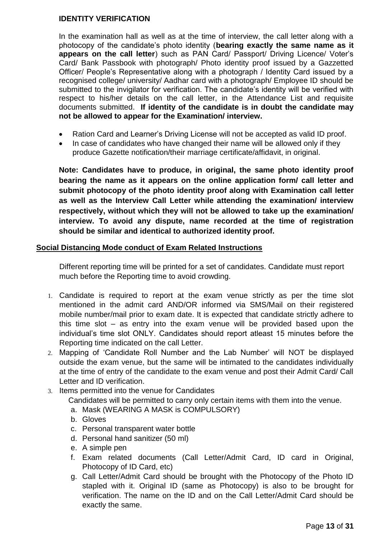# **IDENTITY VERIFICATION**

In the examination hall as well as at the time of interview, the call letter along with a photocopy of the candidate's photo identity (**bearing exactly the same name as it appears on the call letter**) such as PAN Card/ Passport/ Driving Licence/ Voter's Card/ Bank Passbook with photograph/ Photo identity proof issued by a Gazzetted Officer/ People's Representative along with a photograph / Identity Card issued by a recognised college/ university/ Aadhar card with a photograph/ Employee ID should be submitted to the invigilator for verification. The candidate's identity will be verified with respect to his/her details on the call letter, in the Attendance List and requisite documents submitted. **If identity of the candidate is in doubt the candidate may not be allowed to appear for the Examination/ interview.** 

- Ration Card and Learner's Driving License will not be accepted as valid ID proof.
- In case of candidates who have changed their name will be allowed only if they produce Gazette notification/their marriage certificate/affidavit, in original.

**Note: Candidates have to produce, in original, the same photo identity proof bearing the name as it appears on the online application form/ call letter and submit photocopy of the photo identity proof along with Examination call letter as well as the Interview Call Letter while attending the examination/ interview respectively, without which they will not be allowed to take up the examination/ interview. To avoid any dispute, name recorded at the time of registration should be similar and identical to authorized identity proof.**

## **Social Distancing Mode conduct of Exam Related Instructions**

Different reporting time will be printed for a set of candidates. Candidate must report much before the Reporting time to avoid crowding.

- 1. Candidate is required to report at the exam venue strictly as per the time slot mentioned in the admit card AND/OR informed via SMS/Mail on their registered mobile number/mail prior to exam date. It is expected that candidate strictly adhere to this time slot – as entry into the exam venue will be provided based upon the individual's time slot ONLY. Candidates should report atleast 15 minutes before the Reporting time indicated on the call Letter.
- 2. Mapping of 'Candidate Roll Number and the Lab Number' will NOT be displayed outside the exam venue, but the same will be intimated to the candidates individually at the time of entry of the candidate to the exam venue and post their Admit Card/ Call Letter and ID verification.
- 3. Items permitted into the venue for Candidates
	- Candidates will be permitted to carry only certain items with them into the venue.
	- a. Mask (WEARING A MASK is COMPULSORY)
	- b. Gloves
	- c. Personal transparent water bottle
	- d. Personal hand sanitizer (50 ml)
	- e. A simple pen
	- f. Exam related documents (Call Letter/Admit Card, ID card in Original, Photocopy of ID Card, etc)
	- g. Call Letter/Admit Card should be brought with the Photocopy of the Photo ID stapled with it. Original ID (same as Photocopy) is also to be brought for verification. The name on the ID and on the Call Letter/Admit Card should be exactly the same.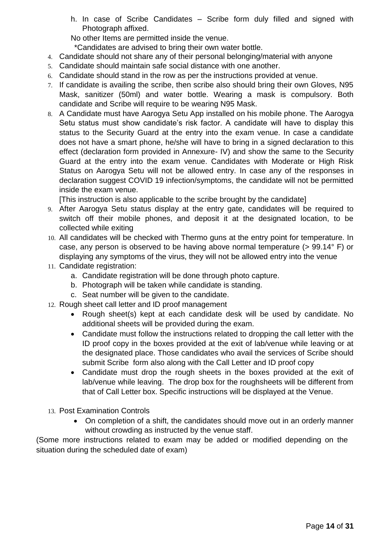h. In case of Scribe Candidates – Scribe form duly filled and signed with Photograph affixed.

No other Items are permitted inside the venue.

\*Candidates are advised to bring their own water bottle.

- 4. Candidate should not share any of their personal belonging/material with anyone
- 5. Candidate should maintain safe social distance with one another.
- 6. Candidate should stand in the row as per the instructions provided at venue.
- 7. If candidate is availing the scribe, then scribe also should bring their own Gloves, N95 Mask, sanitizer (50ml) and water bottle. Wearing a mask is compulsory. Both candidate and Scribe will require to be wearing N95 Mask.
- 8. A Candidate must have Aarogya Setu App installed on his mobile phone. The Aarogya Setu status must show candidate's risk factor. A candidate will have to display this status to the Security Guard at the entry into the exam venue. In case a candidate does not have a smart phone, he/she will have to bring in a signed declaration to this effect (declaration form provided in Annexure- IV) and show the same to the Security Guard at the entry into the exam venue. Candidates with Moderate or High Risk Status on Aarogya Setu will not be allowed entry. In case any of the responses in declaration suggest COVID 19 infection/symptoms, the candidate will not be permitted inside the exam venue.

[This instruction is also applicable to the scribe brought by the candidate]

- 9. After Aarogya Setu status display at the entry gate, candidates will be required to switch off their mobile phones, and deposit it at the designated location, to be collected while exiting
- 10. All candidates will be checked with Thermo guns at the entry point for temperature. In case, any person is observed to be having above normal temperature (> 99.14° F) or displaying any symptoms of the virus, they will not be allowed entry into the venue
- 11. Candidate registration:
	- a. Candidate registration will be done through photo capture.
	- b. Photograph will be taken while candidate is standing.
	- c. Seat number will be given to the candidate.
- 12. Rough sheet call letter and ID proof management
	- Rough sheet(s) kept at each candidate desk will be used by candidate. No additional sheets will be provided during the exam.
	- Candidate must follow the instructions related to dropping the call letter with the ID proof copy in the boxes provided at the exit of lab/venue while leaving or at the designated place. Those candidates who avail the services of Scribe should submit Scribe form also along with the Call Letter and ID proof copy
	- Candidate must drop the rough sheets in the boxes provided at the exit of lab/venue while leaving. The drop box for the roughsheets will be different from that of Call Letter box. Specific instructions will be displayed at the Venue.
- 13. Post Examination Controls
	- On completion of a shift, the candidates should move out in an orderly manner without crowding as instructed by the venue staff.

(Some more instructions related to exam may be added or modified depending on the situation during the scheduled date of exam)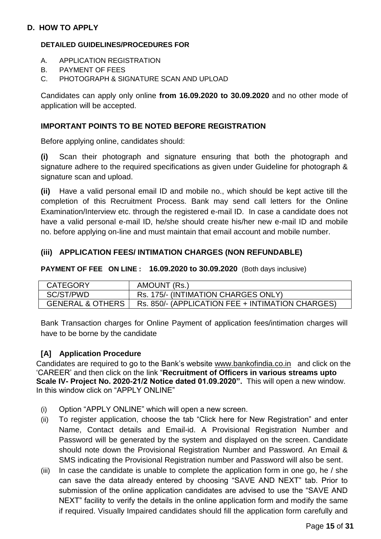## **D. HOW TO APPLY**

### **DETAILED GUIDELINES/PROCEDURES FOR**

- A. APPLICATION REGISTRATION
- B. PAYMENT OF FEES
- C. PHOTOGRAPH & SIGNATURE SCAN AND UPLOAD

Candidates can apply only online **from 16.09.2020 to 30.09.2020** and no other mode of application will be accepted.

### **IMPORTANT POINTS TO BE NOTED BEFORE REGISTRATION**

Before applying online, candidates should:

**(i)** Scan their photograph and signature ensuring that both the photograph and signature adhere to the required specifications as given under Guideline for photograph & signature scan and upload.

**(ii)** Have a valid personal email ID and mobile no., which should be kept active till the completion of this Recruitment Process. Bank may send call letters for the Online Examination/Interview etc. through the registered e-mail ID. In case a candidate does not have a valid personal e-mail ID, he/she should create his/her new e-mail ID and mobile no. before applying on-line and must maintain that email account and mobile number.

#### **(iii) APPLICATION FEES/ INTIMATION CHARGES (NON REFUNDABLE)**

**PAYMENT OF FEE ON LINE : 16.09.2020 to 30.09.2020** (Both days inclusive)

| <b>CATEGORY</b>             | AMOUNT (Rs.)                                     |
|-----------------------------|--------------------------------------------------|
| SC/ST/PWD                   | Rs. 175/- (INTIMATION CHARGES ONLY)              |
| <b>GENERAL &amp; OTHERS</b> | Rs. 850/- (APPLICATION FEE + INTIMATION CHARGES) |

Bank Transaction charges for Online Payment of application fees/intimation charges will have to be borne by the candidate

## **[A] Application Procedure**

Candidates are required to go to the Bank's website [www.bankofindia.co.in](http://www.bankofindia.co.in/) and click on the 'CAREER' and then click on the link "**Recruitment of Officers in various streams upto Scale IV- Project No. 2020-21/2 Notice dated 01.09.2020".** This will open a new window. In this window click on "APPLY ONLINE"

- (i) Option "APPLY ONLINE" which will open a new screen.
- (ii) To register application, choose the tab "Click here for New Registration" and enter Name, Contact details and Email-id. A Provisional Registration Number and Password will be generated by the system and displayed on the screen. Candidate should note down the Provisional Registration Number and Password. An Email & SMS indicating the Provisional Registration number and Password will also be sent.
- (iii) In case the candidate is unable to complete the application form in one go, he / she can save the data already entered by choosing "SAVE AND NEXT" tab. Prior to submission of the online application candidates are advised to use the "SAVE AND NEXT" facility to verify the details in the online application form and modify the same if required. Visually Impaired candidates should fill the application form carefully and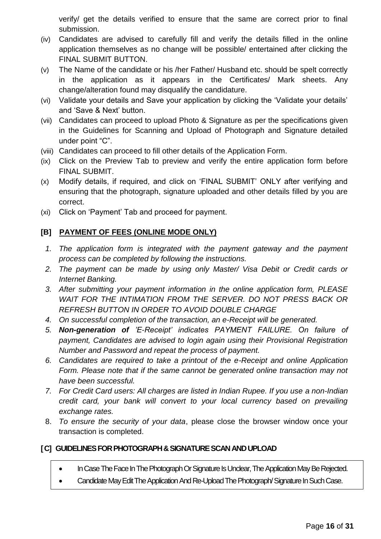verify/ get the details verified to ensure that the same are correct prior to final submission.

- (iv) Candidates are advised to carefully fill and verify the details filled in the online application themselves as no change will be possible/ entertained after clicking the FINAL SUBMIT BUTTON.
- (v) The Name of the candidate or his /her Father/ Husband etc. should be spelt correctly in the application as it appears in the Certificates/ Mark sheets. Any change/alteration found may disqualify the candidature.
- (vi) Validate your details and Save your application by clicking the 'Validate your details' and 'Save & Next' button.
- (vii) Candidates can proceed to upload Photo & Signature as per the specifications given in the Guidelines for Scanning and Upload of Photograph and Signature detailed under point "C".
- (viii) Candidates can proceed to fill other details of the Application Form.
- (ix) Click on the Preview Tab to preview and verify the entire application form before FINAL SUBMIT.
- (x) Modify details, if required, and click on 'FINAL SUBMIT' ONLY after verifying and ensuring that the photograph, signature uploaded and other details filled by you are correct.
- (xi) Click on 'Payment' Tab and proceed for payment.

# **[B] PAYMENT OF FEES (ONLINE MODE ONLY)**

- *1. The application form is integrated with the payment gateway and the payment process can be completed by following the instructions.*
- *2. The payment can be made by using only Master/ Visa Debit or Credit cards or Internet Banking.*
- *3. After submitting your payment information in the online application form, PLEASE WAIT FOR THE INTIMATION FROM THE SERVER. DO NOT PRESS BACK OR REFRESH BUTTON IN ORDER TO AVOID DOUBLE CHARGE*
- *4. On successful completion of the transaction, an e-Receipt will be generated.*
- *5. Non-generation of 'E-Receipt' indicates PAYMENT FAILURE. On failure of payment, Candidates are advised to login again using their Provisional Registration Number and Password and repeat the process of payment.*
- *6. Candidates are required to take a printout of the e-Receipt and online Application Form. Please note that if the same cannot be generated online transaction may not have been successful.*
- *7. For Credit Card users: All charges are listed in Indian Rupee. If you use a non-Indian credit card, your bank will convert to your local currency based on prevailing exchange rates.*
- 8. *To ensure the security of your data*, please close the browser window once your transaction is completed.

# **[C] GUIDELINES FOR PHOTOGRAPH & SIGNATURE SCAN AND UPLOAD**

- In Case The Face In The Photograph Or Signature Is Unclear, The Application May Be Rejected.
- Candidate May Edit The Application And Re-Upload The Photograph/Signature In Such Case.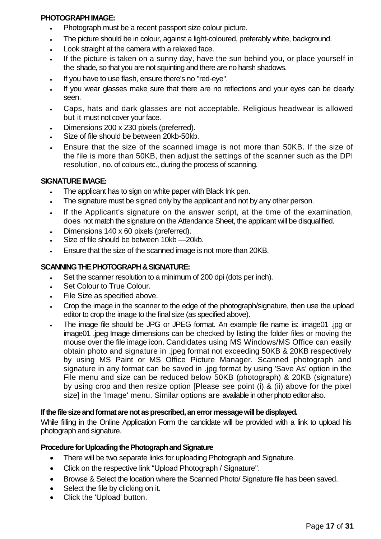## **PHOTOGRAPH IMAGE:**

- Photograph must be a recent passport size colour picture.
- The picture should be in colour, against a light-coloured, preferably white, background.
- Look straight at the camera with a relaxed face.
- If the picture is taken on a sunny day, have the sun behind you, or place yourself in the shade, so that you are not squinting and there are no harsh shadows.
- If you have to use flash, ensure there's no "red-eye".
- If you wear glasses make sure that there are no reflections and your eyes can be clearly seen.
- Caps, hats and dark glasses are not acceptable. Religious headwear is allowed but it must not cover your face.
- Dimensions 200 x 230 pixels (preferred).
- Size of file should be between 20kb-50kb.
- Ensure that the size of the scanned image is not more than 50KB. If the size of the file is more than 50KB, then adjust the settings of the scanner such as the DPI resolution, no. of colours etc., during the process of scanning.

## **SIGNATURE IMAGE:**

- . The applicant has to sign on white paper with Black Ink pen.
- The signature must be signed only by the applicant and not by any other person.
- If the Applicant's signature on the answer script, at the time of the examination, does not match the signature on the Attendance Sheet, the applicant will be disqualified.
- Dimensions 140 x 60 pixels (preferred).
- Size of file should be between 10kb —20kb.
- Ensure that the size of the scanned image is not more than 20KB.

## **SCANNING THE PHOTOGRAPH & SIGNATURE:**

- Set the scanner resolution to a minimum of 200 dpi (dots per inch).
- Set Colour to True Colour.
- File Size as specified above.
- Crop the image in the scanner to the edge of the photograph/signature, then use the upload editor to crop the image to the final size (as specified above).
- The image file should be JPG or JPEG format. An example file name is: image01 .jpg or image01 .jpeg Image dimensions can be checked by listing the folder files or moving the mouse over the file image icon. Candidates using MS Windows/MS Office can easily obtain photo and signature in .jpeg format not exceeding 50KB & 20KB respectively by using MS Paint or MS Office Picture Manager. Scanned photograph and signature in any format can be saved in .jpg format by using 'Save As' option in the File menu and size can be reduced below 50KB (photograph) & 20KB (signature) by using crop and then resize option [Please see point (i) & (ii) above for the pixel size] in the 'Image' menu. Similar options are available in other photo editor also.

## **If the file size and format are not as prescribed, an error message will be displayed.**

While filling in the Online Application Form the candidate will be provided with a link to upload his photograph and signature.

## **Procedure for Uploading the Photograph and Signature**

- There will be two separate links for uploading Photograph and Signature.
- Click on the respective link "Upload Photograph / Signature".
- Browse & Select the location where the Scanned Photo/ Signature file has been saved.
- Select the file by clicking on it.
- Click the 'Upload' button.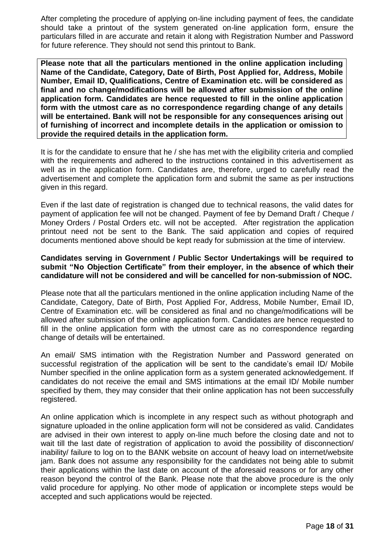After completing the procedure of applying on-line including payment of fees, the candidate should take a printout of the system generated on-line application form, ensure the particulars filled in are accurate and retain it along with Registration Number and Password for future reference. They should not send this printout to Bank.

**Please note that all the particulars mentioned in the online application including Name of the Candidate, Category, Date of Birth, Post Applied for, Address, Mobile Number, Email ID, Qualifications, Centre of Examination etc. will be considered as final and no change/modifications will be allowed after submission of the online application form. Candidates are hence requested to fill in the online application form with the utmost care as no correspondence regarding change of any details will be entertained. Bank will not be responsible for any consequences arising out of furnishing of incorrect and incomplete details in the application or omission to provide the required details in the application form.**

It is for the candidate to ensure that he / she has met with the eligibility criteria and complied with the requirements and adhered to the instructions contained in this advertisement as well as in the application form. Candidates are, therefore, urged to carefully read the advertisement and complete the application form and submit the same as per instructions given in this regard.

Even if the last date of registration is changed due to technical reasons, the valid dates for payment of application fee will not be changed. Payment of fee by Demand Draft / Cheque / Money Orders / Postal Orders etc. will not be accepted. After registration the application printout need not be sent to the Bank. The said application and copies of required documents mentioned above should be kept ready for submission at the time of interview.

### **Candidates serving in Government / Public Sector Undertakings will be required to submit "No Objection Certificate" from their employer, in the absence of which their candidature will not be considered and will be cancelled for non-submission of NOC.**

Please note that all the particulars mentioned in the online application including Name of the Candidate, Category, Date of Birth, Post Applied For, Address, Mobile Number, Email ID, Centre of Examination etc. will be considered as final and no change/modifications will be allowed after submission of the online application form. Candidates are hence requested to fill in the online application form with the utmost care as no correspondence regarding change of details will be entertained.

An email/ SMS intimation with the Registration Number and Password generated on successful registration of the application will be sent to the candidate's email ID/ Mobile Number specified in the online application form as a system generated acknowledgement. If candidates do not receive the email and SMS intimations at the email ID/ Mobile number specified by them, they may consider that their online application has not been successfully registered.

An online application which is incomplete in any respect such as without photograph and signature uploaded in the online application form will not be considered as valid. Candidates are advised in their own interest to apply on-line much before the closing date and not to wait till the last date of registration of application to avoid the possibility of disconnection/ inability/ failure to log on to the BANK website on account of heavy load on internet/website jam. Bank does not assume any responsibility for the candidates not being able to submit their applications within the last date on account of the aforesaid reasons or for any other reason beyond the control of the Bank. Please note that the above procedure is the only valid procedure for applying. No other mode of application or incomplete steps would be accepted and such applications would be rejected.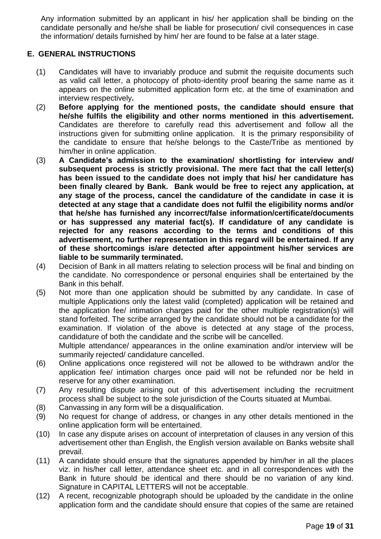Any information submitted by an applicant in his/ her application shall be binding on the candidate personally and he/she shall be liable for prosecution/ civil consequences in case the information/ details furnished by him/ her are found to be false at a later stage.

# **E. GENERAL INSTRUCTIONS**

- (1) Candidates will have to invariably produce and submit the requisite documents such as valid call letter, a photocopy of photo-identity proof bearing the same name as it appears on the online submitted application form etc. at the time of examination and interview respectively**.**
- (2) **Before applying for the mentioned posts, the candidate should ensure that he/she fulfils the eligibility and other norms mentioned in this advertisement.** Candidates are therefore to carefully read this advertisement and follow all the instructions given for submitting online application. It is the primary responsibility of the candidate to ensure that he/she belongs to the Caste/Tribe as mentioned by him/her in online application.
- (3) **A Candidate's admission to the examination/ shortlisting for interview and/ subsequent process is strictly provisional. The mere fact that the call letter(s) has been issued to the candidate does not imply that his/ her candidature has been finally cleared by Bank. Bank would be free to reject any application, at any stage of the process, cancel the candidature of the candidate in case it is detected at any stage that a candidate does not fulfil the eligibility norms and/or that he/she has furnished any incorrect/false information/certificate/documents or has suppressed any material fact(s). If candidature of any candidate is rejected for any reasons according to the terms and conditions of this advertisement, no further representation in this regard will be entertained. If any of these shortcomings is/are detected after appointment his/her services are liable to be summarily terminated.**
- (4) Decision of Bank in all matters relating to selection process will be final and binding on the candidate. No correspondence or personal enquiries shall be entertained by the Bank in this behalf.
- (5) Not more than one application should be submitted by any candidate. In case of multiple Applications only the latest valid (completed) application will be retained and the application fee/ intimation charges paid for the other multiple registration(s) will stand forfeited. The scribe arranged by the candidate should not be a candidate for the examination. If violation of the above is detected at any stage of the process, candidature of both the candidate and the scribe will be cancelled. Multiple attendance/ appearances in the online examination and/or interview will be summarily rejected/ candidature cancelled.
- (6) Online applications once registered will not be allowed to be withdrawn and/or the application fee/ intimation charges once paid will not be refunded nor be held in reserve for any other examination.
- (7) Any resulting dispute arising out of this advertisement including the recruitment process shall be subject to the sole jurisdiction of the Courts situated at Mumbai.
- (8) Canvassing in any form will be a disqualification.
- (9) No request for change of address, or changes in any other details mentioned in the online application form will be entertained.
- (10) In case any dispute arises on account of interpretation of clauses in any version of this advertisement other than English, the English version available on Banks website shall prevail.
- (11) A candidate should ensure that the signatures appended by him/her in all the places viz. in his/her call letter, attendance sheet etc. and in all correspondences with the Bank in future should be identical and there should be no variation of any kind. Signature in CAPITAL LETTERS will not be acceptable.
- (12) A recent, recognizable photograph should be uploaded by the candidate in the online application form and the candidate should ensure that copies of the same are retained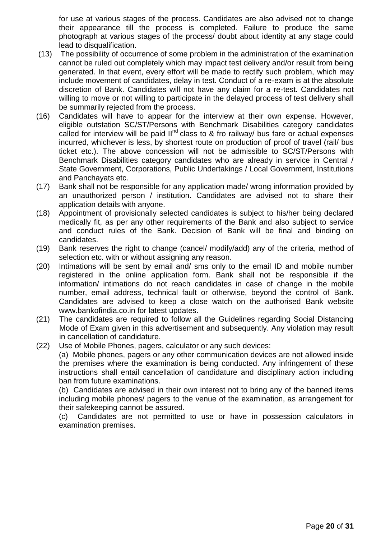for use at various stages of the process. Candidates are also advised not to change their appearance till the process is completed. Failure to produce the same photograph at various stages of the process/ doubt about identity at any stage could lead to disqualification.

- (13) The possibility of occurrence of some problem in the administration of the examination cannot be ruled out completely which may impact test delivery and/or result from being generated. In that event, every effort will be made to rectify such problem, which may include movement of candidates, delay in test. Conduct of a re-exam is at the absolute discretion of Bank. Candidates will not have any claim for a re-test. Candidates not willing to move or not willing to participate in the delayed process of test delivery shall be summarily rejected from the process.
- (16) Candidates will have to appear for the interview at their own expense. However, eligible outstation SC/ST/Persons with Benchmark Disabilities category candidates called for interview will be paid  $II<sup>nd</sup>$  class to & fro railway/ bus fare or actual expenses incurred, whichever is less, by shortest route on production of proof of travel (rail/ bus ticket etc.). The above concession will not be admissible to SC/ST/Persons with Benchmark Disabilities category candidates who are already in service in Central / State Government, Corporations, Public Undertakings / Local Government, Institutions and Panchayats etc.
- (17) Bank shall not be responsible for any application made/ wrong information provided by an unauthorized person / institution. Candidates are advised not to share their application details with anyone.
- (18) Appointment of provisionally selected candidates is subject to his/her being declared medically fit, as per any other requirements of the Bank and also subject to service and conduct rules of the Bank. Decision of Bank will be final and binding on candidates.
- (19) Bank reserves the right to change (cancel/ modify/add) any of the criteria, method of selection etc. with or without assigning any reason.
- (20) Intimations will be sent by email and/ sms only to the email ID and mobile number registered in the online application form. Bank shall not be responsible if the information/ intimations do not reach candidates in case of change in the mobile number, email address, technical fault or otherwise, beyond the control of Bank. Candidates are advised to keep a close watch on the authorised Bank website www.bankofindia.co.in for latest updates.
- (21) The candidates are required to follow all the Guidelines regarding Social Distancing Mode of Exam given in this advertisement and subsequently. Any violation may result in cancellation of candidature.
- (22) Use of Mobile Phones, pagers, calculator or any such devices:

(a) Mobile phones, pagers or any other communication devices are not allowed inside the premises where the examination is being conducted. Any infringement of these instructions shall entail cancellation of candidature and disciplinary action including ban from future examinations.

(b) Candidates are advised in their own interest not to bring any of the banned items including mobile phones/ pagers to the venue of the examination, as arrangement for their safekeeping cannot be assured.

(c) Candidates are not permitted to use or have in possession calculators in examination premises.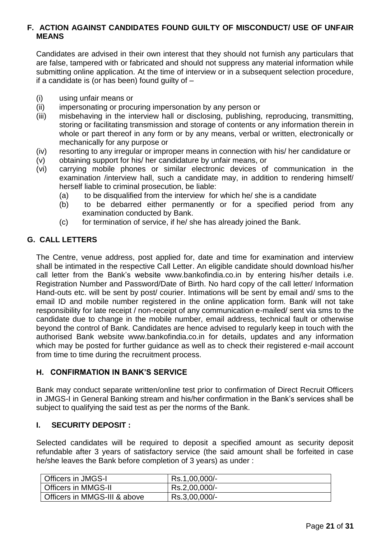## **F. ACTION AGAINST CANDIDATES FOUND GUILTY OF MISCONDUCT/ USE OF UNFAIR MEANS**

Candidates are advised in their own interest that they should not furnish any particulars that are false, tampered with or fabricated and should not suppress any material information while submitting online application. At the time of interview or in a subsequent selection procedure, if a candidate is (or has been) found guilty of –

- (i) using unfair means or
- (ii) impersonating or procuring impersonation by any person or
- (iii) misbehaving in the interview hall or disclosing, publishing, reproducing, transmitting, storing or facilitating transmission and storage of contents or any information therein in whole or part thereof in any form or by any means, verbal or written, electronically or mechanically for any purpose or
- (iv) resorting to any irregular or improper means in connection with his/ her candidature or
- (v) obtaining support for his/ her candidature by unfair means, or
- (vi) carrying mobile phones or similar electronic devices of communication in the examination /interview hall, such a candidate may, in addition to rendering himself/ herself liable to criminal prosecution, be liable:
	- (a) to be disqualified from the interview for which he/ she is a candidate
	- (b) to be debarred either permanently or for a specified period from any examination conducted by Bank.
	- (c) for termination of service, if he/ she has already joined the Bank.

# **G. CALL LETTERS**

The Centre, venue address, post applied for, date and time for examination and interview shall be intimated in the respective Call Letter. An eligible candidate should download his/her call letter from the Bank's website www.bankofindia.co.in by entering his/her details i.e. Registration Number and Password/Date of Birth. No hard copy of the call letter/ Information Hand-outs etc. will be sent by post/ courier. Intimations will be sent by email and/ sms to the email ID and mobile number registered in the online application form. Bank will not take responsibility for late receipt / non-receipt of any communication e-mailed/ sent via sms to the candidate due to change in the mobile number, email address, technical fault or otherwise beyond the control of Bank. Candidates are hence advised to regularly keep in touch with the authorised Bank website www.bankofindia.co.in for details, updates and any information which may be posted for further guidance as well as to check their registered e-mail account from time to time during the recruitment process.

## **H. CONFIRMATION IN BANK'S SERVICE**

Bank may conduct separate written/online test prior to confirmation of Direct Recruit Officers in JMGS-I in General Banking stream and his/her confirmation in the Bank's services shall be subject to qualifying the said test as per the norms of the Bank.

# **I. SECURITY DEPOSIT :**

Selected candidates will be required to deposit a specified amount as security deposit refundable after 3 years of satisfactory service (the said amount shall be forfeited in case he/she leaves the Bank before completion of 3 years) as under :

| <b>Officers in JMGS-I</b>    | Rs.1,00,000/- |
|------------------------------|---------------|
| <b>Officers in MMGS-II</b>   | Rs.2,00,000/- |
| Officers in MMGS-III & above | Rs.3,00,000/- |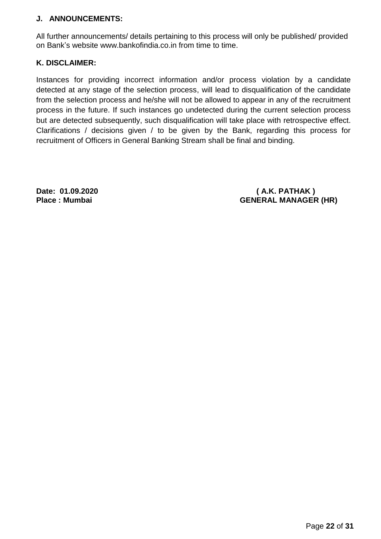# **J. ANNOUNCEMENTS:**

All further announcements/ details pertaining to this process will only be published/ provided on Bank's website www.bankofindia.co.in from time to time.

# **K. DISCLAIMER:**

Instances for providing incorrect information and/or process violation by a candidate detected at any stage of the selection process, will lead to disqualification of the candidate from the selection process and he/she will not be allowed to appear in any of the recruitment process in the future. If such instances go undetected during the current selection process but are detected subsequently, such disqualification will take place with retrospective effect. Clarifications / decisions given / to be given by the Bank, regarding this process for recruitment of Officers in General Banking Stream shall be final and binding.

**Date: 01.09.2020 ( A.K. PATHAK ) Place : Mumbai GENERAL MANAGER (HR)**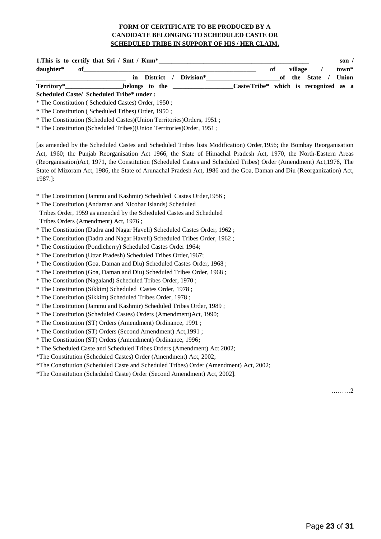#### **FORM OF CERTIFICATE TO BE PRODUCED BY A CANDIDATE BELONGING TO SCHEDULED CASTE OR SCHEDULED TRIBE IN SUPPORT OF HIS / HER CLAIM.**

| 1. This is to certify that Sri / Smt / Kum*             |    |         |                | son $\prime$ |
|---------------------------------------------------------|----|---------|----------------|--------------|
| daughter*<br>-of                                        | оf | village |                | town*        |
| in District / Division*                                 |    |         | of the State / | Union        |
| Caste/Tribe* which is recognized as a<br>belongs to the |    |         |                |              |
| Scheduled Caste/ Scheduled Tribe* under:                |    |         |                |              |

\* The Constitution ( Scheduled Castes) Order, 1950 ;

\* The Constitution ( Scheduled Tribes) Order, 1950 ;

\* The Constitution (Scheduled Castes)(Union Territories)Orders, 1951 ;

\* The Constitution (Scheduled Tribes)(Union Territories)Order, 1951 ;

[as amended by the Scheduled Castes and Scheduled Tribes lists Modification) Order,1956; the Bombay Reorganisation Act, 1960; the Punjab Reorganisation Act 1966, the State of Himachal Pradesh Act, 1970, the North-Eastern Areas (Reorganisation)Act, 1971, the Constitution (Scheduled Castes and Scheduled Tribes) Order (Amendment) Act,1976, The State of Mizoram Act, 1986, the State of Arunachal Pradesh Act, 1986 and the Goa, Daman and Diu (Reorganization) Act, 1987.]:

\* The Constitution (Jammu and Kashmir) Scheduled Castes Order,1956 ;

\* The Constitution (Andaman and Nicobar Islands) Scheduled

Tribes Order, 1959 as amended by the Scheduled Castes and Scheduled

Tribes Orders (Amendment) Act, 1976 ;

\* The Constitution (Dadra and Nagar Haveli) Scheduled Castes Order, 1962 ;

\* The Constitution (Dadra and Nagar Haveli) Scheduled Tribes Order, 1962 ;

\* The Constitution (Pondicherry) Scheduled Castes Order 1964;

\* The Constitution (Uttar Pradesh) Scheduled Tribes Order,1967;

\* The Constitution (Goa, Daman and Diu) Scheduled Castes Order, 1968 ;

\* The Constitution (Goa, Daman and Diu) Scheduled Tribes Order, 1968 ;

\* The Constitution (Nagaland) Scheduled Tribes Order, 1970 ;

\* The Constitution (Sikkim) Scheduled Castes Order, 1978 ;

\* The Constitution (Sikkim) Scheduled Tribes Order, 1978 ;

\* The Constitution (Jammu and Kashmir) Scheduled Tribes Order, 1989 ;

\* The Constitution (Scheduled Castes) Orders (Amendment)Act, 1990;

\* The Constitution (ST) Orders (Amendment) Ordinance, 1991 ;

\* The Constitution (ST) Orders (Second Amendment) Act,1991 ;

\* The Constitution (ST) Orders (Amendment) Ordinance, 1996**;**

\* The Scheduled Caste and Scheduled Tribes Orders (Amendment) Act 2002;

\*The Constitution (Scheduled Castes) Order (Amendment) Act, 2002;

\*The Constitution (Scheduled Caste and Scheduled Tribes) Order (Amendment) Act, 2002;

\*The Constitution (Scheduled Caste) Order (Second Amendment) Act, 2002].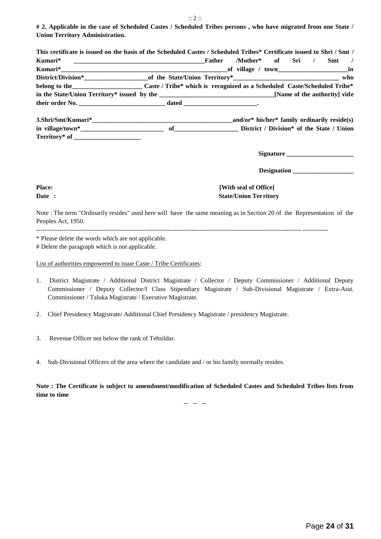:: 2 ::

**# 2. Applicable in the case of Scheduled Castes / Scheduled Tribes persons , who have migrated from one State / Union Territory Administration.**

|                                                                                                        | This certificate is issued on the basis of the Scheduled Castes / Scheduled Tribes* Certificate issued to Shri / Smt / |
|--------------------------------------------------------------------------------------------------------|------------------------------------------------------------------------------------------------------------------------|
|                                                                                                        | /Mother* of Sri / Smt /                                                                                                |
|                                                                                                        |                                                                                                                        |
|                                                                                                        |                                                                                                                        |
|                                                                                                        | belong to the Caste/Scheduled Tribe* which is recognized as a Scheduled Caste/Scheduled Tribe*                         |
|                                                                                                        |                                                                                                                        |
|                                                                                                        |                                                                                                                        |
|                                                                                                        |                                                                                                                        |
|                                                                                                        |                                                                                                                        |
|                                                                                                        |                                                                                                                        |
|                                                                                                        | Signature                                                                                                              |
|                                                                                                        | Designation                                                                                                            |
| <b>Place:</b>                                                                                          | [With seal of Office]                                                                                                  |
| Date :                                                                                                 | <b>State/Union Territory</b>                                                                                           |
| Peoples Act, 1950.                                                                                     | Note: The term "Ordinarily resides" used here will have the same meaning as in Section 20 of the Representation of the |
| * Please delete the words which are not applicable.<br># Delete the paragraph which is not applicable. |                                                                                                                        |

List of authorities empowered to issue Caste / Tribe Certificates:

- 1. District Magistrate / Additional District Magistrate / Collector / Deputy Commissioner / Additional Deputy Commissioner / Deputy Collector/I Class Stipendiary Magistrate / Sub-Divisional Magistrate / Extra-Asst. Commissioner / Taluka Magistrate / Executive Magistrate.
- 2. Chief Presidency Magistrate/ Additional Chief Presidency Magistrate / presidency Magistrate.
- 3. Revenue Officer not below the rank of Tehsildar.
- 4. Sub-Divisional Officers of the area where the candidate and / or his family normally resides.

**Note : The Certificate is subject to amendment/modification of Scheduled Castes and Scheduled Tribes lists from time to time**

-- -- --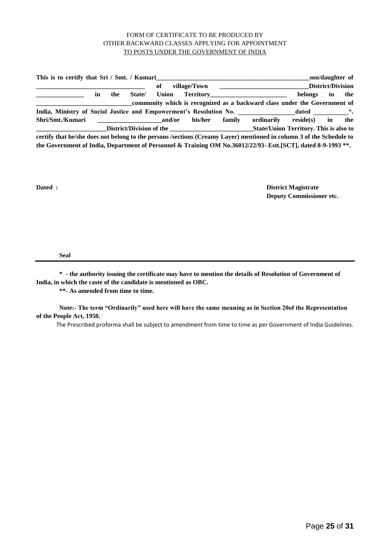#### FORM OF CERTIFICATE TO BE PRODUCED BY OTHER BACKWARD CLASSES APPLYING FOR APPOINTMENT TO POSTS UNDER THE GOVERNMENT OF INDIA

**This is to certify that Sri / Smt. / Kumari\_\_\_\_\_\_\_\_\_\_\_\_\_\_\_\_\_\_\_\_\_\_\_\_\_\_\_\_\_\_\_\_\_\_\_\_\_\_\_\_\_\_\_\_\_\_\_\_son/daughter of \_\_\_\_\_\_\_\_\_\_\_\_\_\_\_\_\_\_\_\_\_\_\_\_\_\_\_\_\_\_\_\_\_\_ of village/Town \_\_\_\_\_\_\_\_\_\_\_\_\_\_\_\_\_\_\_\_\_\_\_\_\_\_\_\_District/Division \_\_\_\_\_\_\_\_\_\_\_\_\_\_\_ in the State/ Union Territory\_\_\_\_\_\_\_\_\_\_\_\_\_\_\_\_\_\_\_\_\_\_\_\_ belongs to the**  community which is recognized as a backward class under the Government of India, Ministry of Social Justice and Empowerment's Resolution No. **2008** and the same of the set of the set of the set of the set of the set of the set of the set of the set of the set of the set of the set of the set of **Shri/Smt./Kumari \_\_\_\_\_\_\_\_\_\_\_\_\_\_\_\_\_\_\_\_and/or his/her family ordinarily reside(s) in the \_\_\_\_\_\_\_\_\_\_\_\_\_\_\_\_\_\_\_\_\_\_District/Division of the \_\_\_\_\_\_\_\_\_\_\_\_\_\_\_\_\_\_\_\_\_\_\_\_\_\_State/Union Territory. This is also to certify that he/she does not belong to the persons /sections (Creamy Layer) mentioned in column 3 of the Schedule to the Government of India, Department of Personnel & Training OM No.36012/22/93- Estt.[SCT], dated 8-9-1993 \*\*.**

**Dated : District Magistrate Deputy Commissioner etc.**

**Seal** 

**\* - the authority issuing the certificate may have to mention the details of Resolution of Government of India, in which the caste of the candidate is mentioned as OBC.**

**\*\*- As amended from time to time.**

**Note:- The term "Ordinarily" used here will have the same meaning as in Section 20of the Representation of the People Act, 1950.** 

The Prescribed proforma shall be subject to amendment from time to time as per Government of India Guidelines.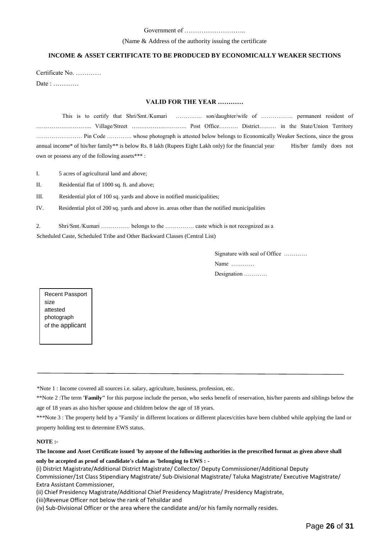#### Government of ………………………..

#### (Name & Address of the authority issuing the certificate

#### **INCOME & ASSET CERTIFICATE TO BE PRODUCED BY ECONOMICALLY WEAKER SECTIONS**

Certificate No. ………… Date : …………

#### **VALID FOR THE YEAR …………**

This is to certify that Shri/Smt./Kumari ………….. son/daughter/wife of …………….. permanent resident of ……………………….. ViIlage/Street ……………………….. Post Office………. District……… in the State/Union Territory …………………… Pin Code …………. whose photograph is attested below belongs to Economically Weaker Sections, since the gross annual income\* of his/her family\*\* is below Rs. 8 lakh (Rupees Eight Lakh only) for the financial year His/her family does not own or possess any of the following assets\*\*\* :

I. 5 acres of agricultural land and above;

II. Residential flat of 1000 sq. ft. and above;

III. Residential plot of 100 sq. yards and above in notified municipalities;

IV. Residential plot of 200 sq. yards and above in. areas other than the notified municipalities

2. Shri/Smt./Kumari …………… belongs to the …………… caste which is not recognized as a

Scheduled Caste, Scheduled Tribe and Other Backward Classes (Central List)

Signature with seal of Office ………… Name ………… Designation …………

Recent Passport size attested photograph of the applicant

\*Note 1 : Income covered all sources i.e. salary, agriculture, business, profession, etc.

\*\*Note 2 :The term **'Family"** for this purpose include the person, who seeks benefit of reservation, his/her parents and siblings below the age of 18 years as also his/her spouse and children below the age of 18 years.

\*\*\*Note 3 : The property held by a "Family' in different locations or different places/cities have been clubbed while applying the land or property holding test to determine EWS status.

#### **NOTE :-**

**The Income and Asset Certificate issued 'by anyone of the following authorities in the prescribed format as given above shall only be accepted as proof of candidate's claim as 'belonging to EWS : -**

(i) District Magistrate/Additional District Magistrate/ Collector/ Deputy Commissioner/Additional Deputy Commissioner/1st Class Stipendiary Magistrate/ Sub-Divisional Magistrate/ Taluka Magistrate/ Executive Magistrate/ Extra Assistant Commissioner,

(ii) Chief Presidency Magistrate/Additional Chief Presidency Magistrate/ Presidency Magistrate,

(iii)Revenue Officer not below the rank of Tehsildar and

(iv) Sub-Divisional Officer or the area where the candidate and/or his family normally resides.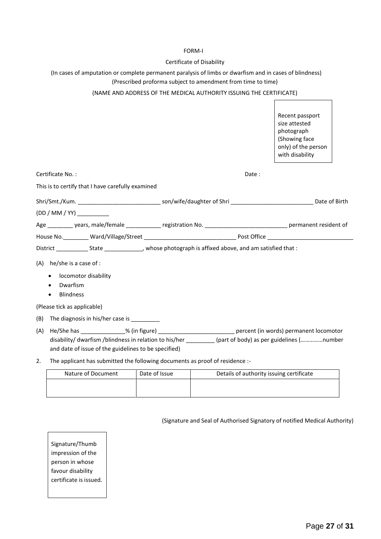#### FORM-I

#### Certificate of Disability

#### (In cases of amputation or complete permanent paralysis of limbs or dwarfism and in cases of blindness) (Prescribed proforma subject to amendment from time to time)

#### (NAME AND ADDRESS OF THE MEDICAL AUTHORITY ISSUING THE CERTIFICATE)

|                                                                                     |                                                                                                                                                                                                                  | Recent passport<br>size attested<br>photograph<br>(Showing face<br>only) of the person<br>with disability |
|-------------------------------------------------------------------------------------|------------------------------------------------------------------------------------------------------------------------------------------------------------------------------------------------------------------|-----------------------------------------------------------------------------------------------------------|
| Certificate No.:                                                                    | Date:                                                                                                                                                                                                            |                                                                                                           |
| This is to certify that I have carefully examined                                   |                                                                                                                                                                                                                  |                                                                                                           |
|                                                                                     | Shri/Smt./Kum. __________________________________son/wife/daughter of Shri _________________________________Date of Birth                                                                                        |                                                                                                           |
| (DD / MM / YY)                                                                      |                                                                                                                                                                                                                  |                                                                                                           |
|                                                                                     | Age __________ years, male/female ____________ registration No. __________________________________ permanent resident of                                                                                         |                                                                                                           |
|                                                                                     |                                                                                                                                                                                                                  |                                                                                                           |
|                                                                                     |                                                                                                                                                                                                                  |                                                                                                           |
| $(A)$ he/she is a case of :<br>locomotor disability<br>Dwarfism<br><b>Blindness</b> |                                                                                                                                                                                                                  |                                                                                                           |
| (Please tick as applicable)                                                         |                                                                                                                                                                                                                  |                                                                                                           |
| The diagnosis in his/her case is ___________<br>(B)                                 |                                                                                                                                                                                                                  |                                                                                                           |
| (A)<br>and date of issue of the guidelines to be specified)                         | He/She has _______________% (in figure) ______________________________ percent (in words) permanent locomotor<br>disability/ dwarfism /blindness in relation to his/her (part of body) as per guidelines (number |                                                                                                           |
|                                                                                     | The applicant has submitted the following desuments as preaf of residence :                                                                                                                                      |                                                                                                           |

2. The applicant has submitted the following documents as proof of residence :-

| Nature of Document | Date of Issue | Details of authority issuing certificate |
|--------------------|---------------|------------------------------------------|
|                    |               |                                          |

(Signature and Seal of Authorised Signatory of notified Medical Authority)

Signature/Thumb impression of the person in whose favour disability certificate is issued.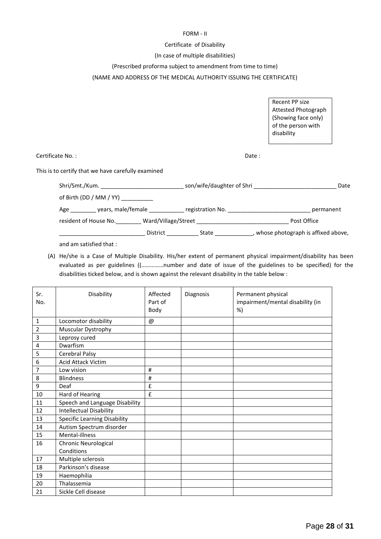#### FORM - II

#### Certificate of Disability

#### (In case of multiple disabilities)

#### (Prescribed proforma subject to amendment from time to time)

#### (NAME AND ADDRESS OF THE MEDICAL AUTHORITY ISSUING THE CERTIFICATE)

Recent PP size Attested Photograph (Showing face only) of the person with disability

Certificate No. : Date :

This is to certify that we have carefully examined

| Shri/Smt./Kum. ______________________ |                     | son/wife/daughter of Shri | Date                               |
|---------------------------------------|---------------------|---------------------------|------------------------------------|
| of Birth (DD / MM / YY) _________     |                     |                           |                                    |
| years, male/female<br>Age             |                     | registration No.          | permanent                          |
| resident of House No.                 | Ward/Village/Street |                           | Post Office                        |
|                                       | District            | State                     | whose photograph is affixed above, |

and am satisfied that :

(A) He/she is a Case of Multiple Disability. His/her extent of permanent physical impairment/disability has been evaluated as per guidelines ((……………number and date of issue of the guidelines to be specified) for the disabilities ticked below, and is shown against the relevant disability in the table below :

| Sr.<br>No.     | Disability                          | Affected<br>Part of<br>Body | Diagnosis | Permanent physical<br>impairment/mental disability (in<br>%) |
|----------------|-------------------------------------|-----------------------------|-----------|--------------------------------------------------------------|
| $\mathbf{1}$   | Locomotor disability                | @                           |           |                                                              |
| $\overline{2}$ | Muscular Dystrophy                  |                             |           |                                                              |
| 3              | Leprosy cured                       |                             |           |                                                              |
| 4              | Dwarfism                            |                             |           |                                                              |
| 5              | Cerebral Palsy                      |                             |           |                                                              |
| 6              | <b>Acid Attack Victim</b>           |                             |           |                                                              |
| 7              | Low vision                          | #                           |           |                                                              |
| 8              | <b>Blindness</b>                    | $\sharp$                    |           |                                                              |
| 9              | Deaf                                | £                           |           |                                                              |
| 10             | Hard of Hearing                     | £                           |           |                                                              |
| 11             | Speech and Language Disability      |                             |           |                                                              |
| 12             | <b>Intellectual Disability</b>      |                             |           |                                                              |
| 13             | <b>Specific Learning Disability</b> |                             |           |                                                              |
| 14             | Autism Spectrum disorder            |                             |           |                                                              |
| 15             | Mental-illness                      |                             |           |                                                              |
| 16             | <b>Chronic Neurological</b>         |                             |           |                                                              |
|                | Conditions                          |                             |           |                                                              |
| 17             | Multiple sclerosis                  |                             |           |                                                              |
| 18             | Parkinson's disease                 |                             |           |                                                              |
| 19             | Haemophilia                         |                             |           |                                                              |
| 20             | Thalassemia                         |                             |           |                                                              |
| 21             | Sickle Cell disease                 |                             |           |                                                              |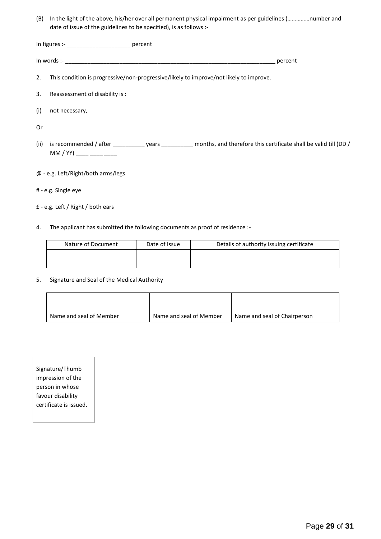(B) In the light of the above, his/her over all permanent physical impairment as per guidelines (……………number and date of issue of the guidelines to be specified), is as follows :-

In figures :- \_\_\_\_\_\_\_\_\_\_\_\_\_\_\_\_\_\_\_\_ percent

| -: In words                                                                            | percent |
|----------------------------------------------------------------------------------------|---------|
| This condition is progressive/non-progressive/likely to improve/not likely to improve. |         |

- 3. Reassessment of disability is :
- (i) not necessary,

Or

- (ii) is recommended / after \_\_\_\_\_\_\_\_\_\_\_\_ years \_\_\_\_\_\_\_\_\_\_\_ months, and therefore this certificate shall be valid till (DD / MM / YY) \_\_\_\_ \_\_\_\_ \_\_\_\_
- @ e.g. Left/Right/both arms/legs
- # e.g. Single eye
- £ e.g. Left / Right / both ears
- 4. The applicant has submitted the following documents as proof of residence :-

| Nature of Document | Date of Issue | Details of authority issuing certificate |
|--------------------|---------------|------------------------------------------|
|                    |               |                                          |
|                    |               |                                          |

5. Signature and Seal of the Medical Authority

| Name and seal of Member | Name and seal of Member | Name and seal of Chairperson |
|-------------------------|-------------------------|------------------------------|

Signature/Thumb impression of the person in whose favour disability certificate is issued.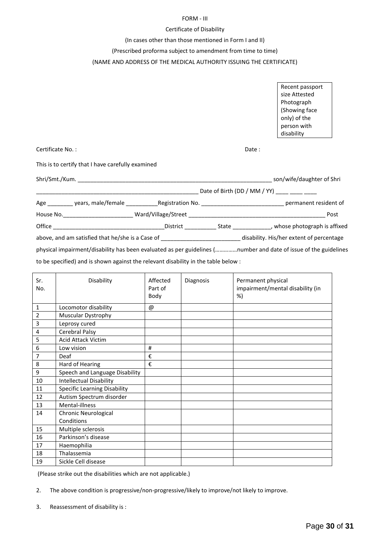#### FORM - III

#### Certificate of Disability

#### (In cases other than those mentioned in Form I and II)

(Prescribed proforma subject to amendment from time to time)

#### (NAME AND ADDRESS OF THE MEDICAL AUTHORITY ISSUING THE CERTIFICATE)

Recent passport size Attested Photograph (Showing face only) of the person with disability Certificate No. : Date : This is to certify that I have carefully examined Shri/Smt./Kum. \_\_\_\_\_\_\_\_\_\_\_\_\_\_\_\_\_\_\_\_\_\_\_\_\_\_\_\_\_\_\_\_\_\_\_\_\_\_\_\_\_\_\_\_\_\_\_\_\_\_\_\_\_\_\_\_\_\_\_\_\_ son/wife/daughter of Shri \_\_\_\_\_\_\_\_\_\_\_\_\_\_\_\_\_\_\_\_\_\_\_\_\_\_\_\_\_\_\_\_\_\_\_\_\_\_\_\_\_\_\_\_\_\_\_\_\_\_\_ Date of Birth (DD / MM / YY) \_\_\_\_ \_\_\_\_ \_\_\_\_ Age \_\_\_\_\_\_\_\_ years, male/female \_\_\_\_\_\_\_\_\_\_Registration No. \_\_\_\_\_\_\_\_\_\_\_\_\_\_\_\_\_\_\_\_\_\_\_\_\_\_ permanent resident of House No. 2008 2008 2009 Ward/Village/Street 2008 2009 2008 2009 2008 2014 2016 2017 Office \_\_\_\_\_\_\_\_\_\_\_\_\_\_\_\_\_\_\_\_\_\_\_\_\_\_\_\_\_\_\_\_\_\_\_District \_\_\_\_\_\_\_\_\_\_ State \_\_\_\_\_\_\_\_\_\_\_\_, whose photograph is affixed above, and am satisfied that he/she is a Case of \_\_\_\_\_\_\_\_\_\_\_\_\_\_\_\_\_\_\_\_\_\_\_\_\_\_\_\_\_\_disability. His/her extent of percentage

physical impairment/disability has been evaluated as per guidelines (……………number and date of issue of the guidelines

to be specified) and is shown against the relevant disability in the table below :

| Sr.<br>No.     | Disability                          | Affected<br>Part of<br>Body | Diagnosis | Permanent physical<br>impairment/mental disability (in<br>%) |
|----------------|-------------------------------------|-----------------------------|-----------|--------------------------------------------------------------|
| 1              | Locomotor disability                | @                           |           |                                                              |
| $\overline{2}$ | Muscular Dystrophy                  |                             |           |                                                              |
| 3              | Leprosy cured                       |                             |           |                                                              |
| 4              | Cerebral Palsy                      |                             |           |                                                              |
| 5              | <b>Acid Attack Victim</b>           |                             |           |                                                              |
| 6              | Low vision                          | #                           |           |                                                              |
| 7              | Deaf                                | €                           |           |                                                              |
| 8              | Hard of Hearing                     | €                           |           |                                                              |
| 9              | Speech and Language Disability      |                             |           |                                                              |
| 10             | <b>Intellectual Disability</b>      |                             |           |                                                              |
| 11             | <b>Specific Learning Disability</b> |                             |           |                                                              |
| 12             | Autism Spectrum disorder            |                             |           |                                                              |
| 13             | Mental-illness                      |                             |           |                                                              |
| 14             | <b>Chronic Neurological</b>         |                             |           |                                                              |
|                | Conditions                          |                             |           |                                                              |
| 15             | Multiple sclerosis                  |                             |           |                                                              |
| 16             | Parkinson's disease                 |                             |           |                                                              |
| 17             | Haemophilia                         |                             |           |                                                              |
| 18             | Thalassemia                         |                             |           |                                                              |
| 19             | Sickle Cell disease                 |                             |           |                                                              |

(Please strike out the disabilities which are not applicable.)

2. The above condition is progressive/non-progressive/likely to improve/not likely to improve.

3. Reassessment of disability is :